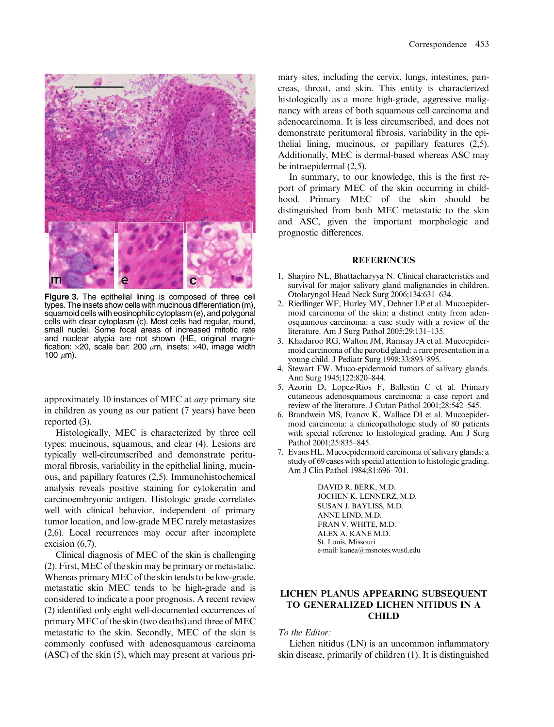

Figure 3. The epithelial lining is composed of three cell types. The insets show cells with mucinous differentiation (m), squamoid cells with eosinophilic cytoplasm (e), and polygonal cells with clear cytoplasm (c). Most cells had regular, round, small nuclei. Some focal areas of increased mitotic rate and nuclear atypia are not shown (HE, original magnification:  $\times$ 20, scale bar: 200  $\mu$ m, insets:  $\times$ 40, image width 100  $\mu$ m).

approximately 10 instances of MEC at any primary site in children as young as our patient (7 years) have been reported (3).

Histologically, MEC is characterized by three cell types: mucinous, squamous, and clear (4). Lesions are typically well-circumscribed and demonstrate peritumoral fibrosis, variability in the epithelial lining, mucinous, and papillary features (2,5). Immunohistochemical analysis reveals positive staining for cytokeratin and carcinoembryonic antigen. Histologic grade correlates well with clinical behavior, independent of primary tumor location, and low-grade MEC rarely metastasizes (2,6). Local recurrences may occur after incomplete excision (6,7).

Clinical diagnosis of MEC of the skin is challenging (2). First,MEC of the skin may be primary or metastatic. Whereas primary MEC of the skin tends to be low-grade, metastatic skin MEC tends to be high-grade and is considered to indicate a poor prognosis. A recent review (2) identified only eight well-documented occurrences of primary MEC of the skin (two deaths) and three of MEC metastatic to the skin. Secondly, MEC of the skin is commonly confused with adenosquamous carcinoma (ASC) of the skin (5), which may present at various primary sites, including the cervix, lungs, intestines, pancreas, throat, and skin. This entity is characterized histologically as a more high-grade, aggressive malignancy with areas of both squamous cell carcinoma and adenocarcinoma. It is less circumscribed, and does not demonstrate peritumoral fibrosis, variability in the epithelial lining, mucinous, or papillary features (2,5). Additionally, MEC is dermal-based whereas ASC may be intraepidermal (2,5).

In summary, to our knowledge, this is the first report of primary MEC of the skin occurring in childhood. Primary MEC of the skin should be distinguished from both MEC metastatic to the skin and ASC, given the important morphologic and prognostic differences.

#### **REFERENCES**

- 1. Shapiro NL, Bhattacharyya N. Clinical characteristics and survival for major salivary gland malignancies in children. Otolaryngol Head Neck Surg 2006;134:631–634.
- 2. Riedlinger WF, Hurley MY, Dehner LP et al. Mucoepidermoid carcinoma of the skin: a distinct entity from adenosquamous carcinoma: a case study with a review of the literature. Am J Surg Pathol 2005;29:131–135.
- 3. Khadaroo RG, Walton JM, Ramsay JA et al. Mucoepidermoid carcinoma of the parotid gland: a rare presentation in a young child. J Pediatr Surg 1998;33:893–895.
- 4. Stewart FW. Muco-epidermoid tumors of salivary glands. Ann Surg 1945;122:820–844.
- 5. Azorin D, Lopez-Rios F, Ballestin C et al. Primary cutaneous adenosquamous carcinoma: a case report and review of the literature. J Cutan Pathol 2001;28:542–545.
- 6. Brandwein MS, Ivanov K, Wallace DI et al. Mucoepidermoid carcinoma: a clinicopathologic study of 80 patients with special reference to histological grading. Am J Surg Pathol 2001;25:835–845.
- 7. Evans HL.Mucoepidermoid carcinoma of salivary glands: a study of 69 cases with special attention to histologic grading. Am J Clin Pathol 1984;81:696–701.

DAVID R. BERK, M.D. JOCHEN K. LENNERZ, M.D. SUSAN J. BAYLISS, M.D. ANNE LIND, M.D. FRAN V. WHITE, M.D. ALEX A. KANE M.D. St. Louis, Missouri e-mail: kanea@msnotes.wustl.edu

## LICHEN PLANUS APPEARING SUBSEQUENT TO GENERALIZED LICHEN NITIDUS IN A CHILD

To the Editor:

Lichen nitidus (LN) is an uncommon inflammatory skin disease, primarily of children (1). It is distinguished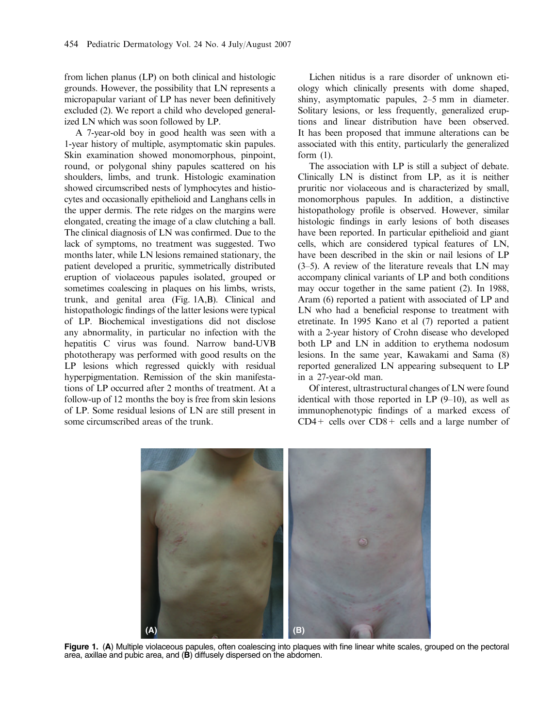from lichen planus (LP) on both clinical and histologic grounds. However, the possibility that LN represents a micropapular variant of LP has never been definitively excluded (2). We report a child who developed generalized LN which was soon followed by LP.

A 7-year-old boy in good health was seen with a 1-year history of multiple, asymptomatic skin papules. Skin examination showed monomorphous, pinpoint, round, or polygonal shiny papules scattered on his shoulders, limbs, and trunk. Histologic examination showed circumscribed nests of lymphocytes and histiocytes and occasionally epithelioid and Langhans cells in the upper dermis. The rete ridges on the margins were elongated, creating the image of a claw clutching a ball. The clinical diagnosis of LN was confirmed. Due to the lack of symptoms, no treatment was suggested. Two months later, while LN lesions remained stationary, the patient developed a pruritic, symmetrically distributed eruption of violaceous papules isolated, grouped or sometimes coalescing in plaques on his limbs, wrists, trunk, and genital area (Fig. 1A,B). Clinical and histopathologic findings of the latter lesions were typical of LP. Biochemical investigations did not disclose any abnormality, in particular no infection with the hepatitis C virus was found. Narrow band-UVB phototherapy was performed with good results on the LP lesions which regressed quickly with residual hyperpigmentation. Remission of the skin manifestations of LP occurred after 2 months of treatment. At a follow-up of 12 months the boy is free from skin lesions of LP. Some residual lesions of LN are still present in some circumscribed areas of the trunk.

Lichen nitidus is a rare disorder of unknown etiology which clinically presents with dome shaped, shiny, asymptomatic papules, 2–5 mm in diameter. Solitary lesions, or less frequently, generalized eruptions and linear distribution have been observed. It has been proposed that immune alterations can be associated with this entity, particularly the generalized form (1).

The association with LP is still a subject of debate. Clinically LN is distinct from LP, as it is neither pruritic nor violaceous and is characterized by small, monomorphous papules. In addition, a distinctive histopathology profile is observed. However, similar histologic findings in early lesions of both diseases have been reported. In particular epithelioid and giant cells, which are considered typical features of LN, have been described in the skin or nail lesions of LP (3–5). A review of the literature reveals that LN may accompany clinical variants of LP and both conditions may occur together in the same patient (2). In 1988, Aram (6) reported a patient with associated of LP and LN who had a beneficial response to treatment with etretinate. In 1995 Kano et al (7) reported a patient with a 2-year history of Crohn disease who developed both LP and LN in addition to erythema nodosum lesions. In the same year, Kawakami and Sama (8) reported generalized LN appearing subsequent to LP in a 27-year-old man.

Of interest, ultrastructural changes of LN were found identical with those reported in LP  $(9-10)$ , as well as immunophenotypic findings of a marked excess of  $CD4+$  cells over  $CD8+$  cells and a large number of



Figure 1. (A) Multiple violaceous papules, often coalescing into plaques with fine linear white scales, grouped on the pectoral area, axillae and pubic area, and (B) diffusely dispersed on the abdomen.